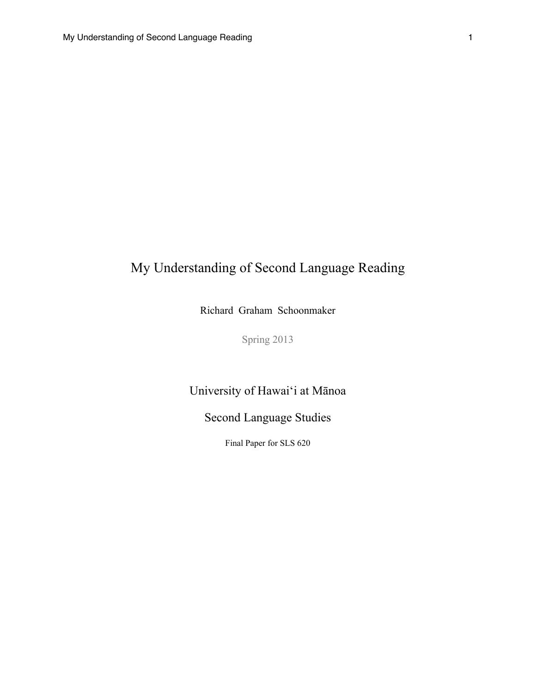# My Understanding of Second Language Reading

Richard Graham Schoonmaker

Spring 2013

University of Hawai'i at Mānoa

Second Language Studies

Final Paper for SLS 620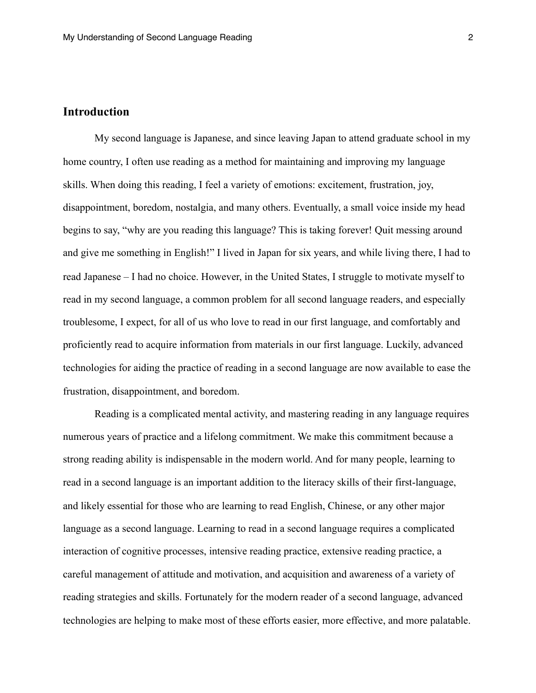## **Introduction**

 My second language is Japanese, and since leaving Japan to attend graduate school in my home country, I often use reading as a method for maintaining and improving my language skills. When doing this reading, I feel a variety of emotions: excitement, frustration, joy, disappointment, boredom, nostalgia, and many others. Eventually, a small voice inside my head begins to say, "why are you reading this language? This is taking forever! Quit messing around and give me something in English!" I lived in Japan for six years, and while living there, I had to read Japanese – I had no choice. However, in the United States, I struggle to motivate myself to read in my second language, a common problem for all second language readers, and especially troublesome, I expect, for all of us who love to read in our first language, and comfortably and proficiently read to acquire information from materials in our first language. Luckily, advanced technologies for aiding the practice of reading in a second language are now available to ease the frustration, disappointment, and boredom.

 Reading is a complicated mental activity, and mastering reading in any language requires numerous years of practice and a lifelong commitment. We make this commitment because a strong reading ability is indispensable in the modern world. And for many people, learning to read in a second language is an important addition to the literacy skills of their first-language, and likely essential for those who are learning to read English, Chinese, or any other major language as a second language. Learning to read in a second language requires a complicated interaction of cognitive processes, intensive reading practice, extensive reading practice, a careful management of attitude and motivation, and acquisition and awareness of a variety of reading strategies and skills. Fortunately for the modern reader of a second language, advanced technologies are helping to make most of these efforts easier, more effective, and more palatable.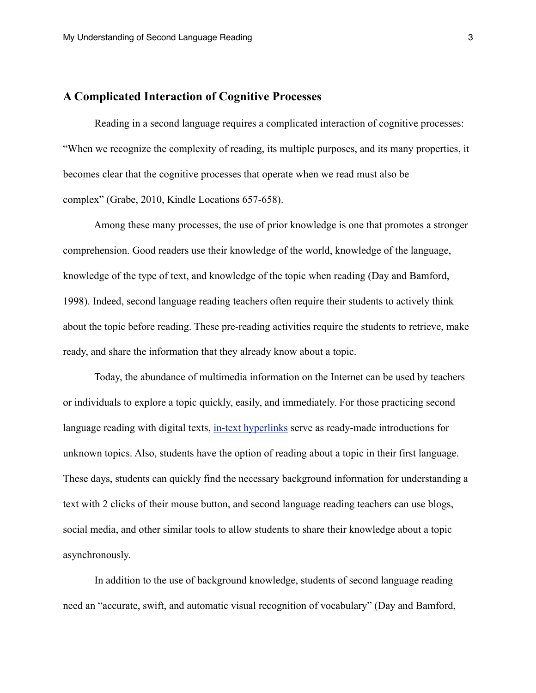### **A Complicated Interaction of Cognitive Processes**

 Reading in a second language requires a complicated interaction of cognitive processes: "When we recognize the complexity of reading, its multiple purposes, and its many properties, it becomes clear that the cognitive processes that operate when we read must also be complex" (Grabe, 2010, Kindle Locations 657-658).

 Among these many processes, the use of prior knowledge is one that promotes a stronger comprehension. Good readers use their knowledge of the world, knowledge of the language, knowledge of the type of text, and knowledge of the topic when reading (Day and Bamford, 1998). Indeed, second language reading teachers often require their students to actively think about the topic before reading. These pre-reading activities require the students to retrieve, make ready, and share the information that they already know about a topic.

 Today, the abundance of multimedia information on the Internet can be used by teachers or individuals to explore a topic quickly, easily, and immediately. For those practicing second language reading with digital texts, [in-text hyperlinks](http://en.wikipedia.org/wiki/Hyperlink) serve as ready-made introductions for unknown topics. Also, students have the option of reading about a topic in their first language. These days, students can quickly find the necessary background information for understanding a text with 2 clicks of their mouse button, and second language reading teachers can use blogs, social media, and other similar tools to allow students to share their knowledge about a topic asynchronously.

 In addition to the use of background knowledge, students of second language reading need an "accurate, swift, and automatic visual recognition of vocabulary" (Day and Bamford,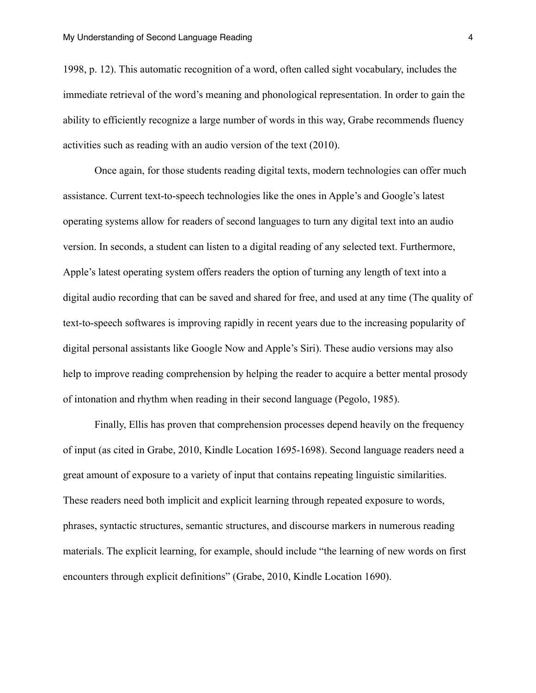1998, p. 12). This automatic recognition of a word, often called sight vocabulary, includes the immediate retrieval of the word's meaning and phonological representation. In order to gain the ability to efficiently recognize a large number of words in this way, Grabe recommends fluency activities such as reading with an audio version of the text (2010).

 Once again, for those students reading digital texts, modern technologies can offer much assistance. Current text-to-speech technologies like the ones in Apple's and Google's latest operating systems allow for readers of second languages to turn any digital text into an audio version. In seconds, a student can listen to a digital reading of any selected text. Furthermore, Apple's latest operating system offers readers the option of turning any length of text into a digital audio recording that can be saved and shared for free, and used at any time (The quality of text-to-speech softwares is improving rapidly in recent years due to the increasing popularity of digital personal assistants like Google Now and Apple's Siri). These audio versions may also help to improve reading comprehension by helping the reader to acquire a better mental prosody of intonation and rhythm when reading in their second language (Pegolo, 1985).

 Finally, Ellis has proven that comprehension processes depend heavily on the frequency of input (as cited in Grabe, 2010, Kindle Location 1695-1698). Second language readers need a great amount of exposure to a variety of input that contains repeating linguistic similarities. These readers need both implicit and explicit learning through repeated exposure to words, phrases, syntactic structures, semantic structures, and discourse markers in numerous reading materials. The explicit learning, for example, should include "the learning of new words on first encounters through explicit definitions" (Grabe, 2010, Kindle Location 1690).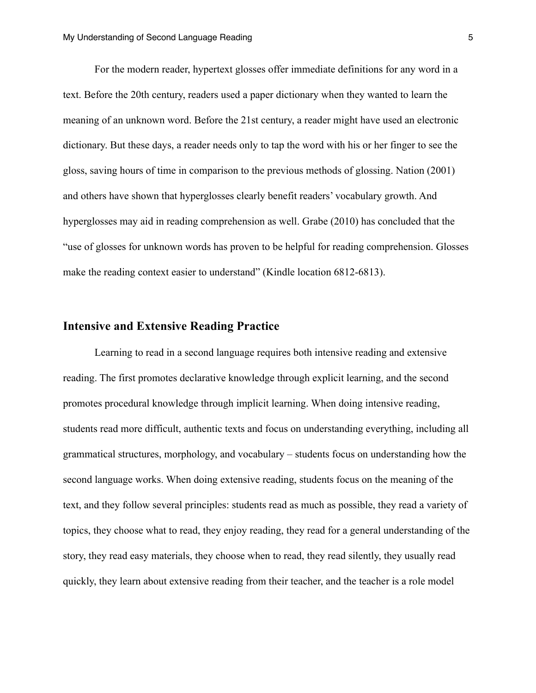For the modern reader, hypertext glosses offer immediate definitions for any word in a text. Before the 20th century, readers used a paper dictionary when they wanted to learn the meaning of an unknown word. Before the 21st century, a reader might have used an electronic dictionary. But these days, a reader needs only to tap the word with his or her finger to see the gloss, saving hours of time in comparison to the previous methods of glossing. Nation (2001) and others have shown that hyperglosses clearly benefit readers' vocabulary growth. And hyperglosses may aid in reading comprehension as well. Grabe (2010) has concluded that the "use of glosses for unknown words has proven to be helpful for reading comprehension. Glosses make the reading context easier to understand" (Kindle location 6812-6813).

#### **Intensive and Extensive Reading Practice**

 Learning to read in a second language requires both intensive reading and extensive reading. The first promotes declarative knowledge through explicit learning, and the second promotes procedural knowledge through implicit learning. When doing intensive reading, students read more difficult, authentic texts and focus on understanding everything, including all grammatical structures, morphology, and vocabulary – students focus on understanding how the second language works. When doing extensive reading, students focus on the meaning of the text, and they follow several principles: students read as much as possible, they read a variety of topics, they choose what to read, they enjoy reading, they read for a general understanding of the story, they read easy materials, they choose when to read, they read silently, they usually read quickly, they learn about extensive reading from their teacher, and the teacher is a role model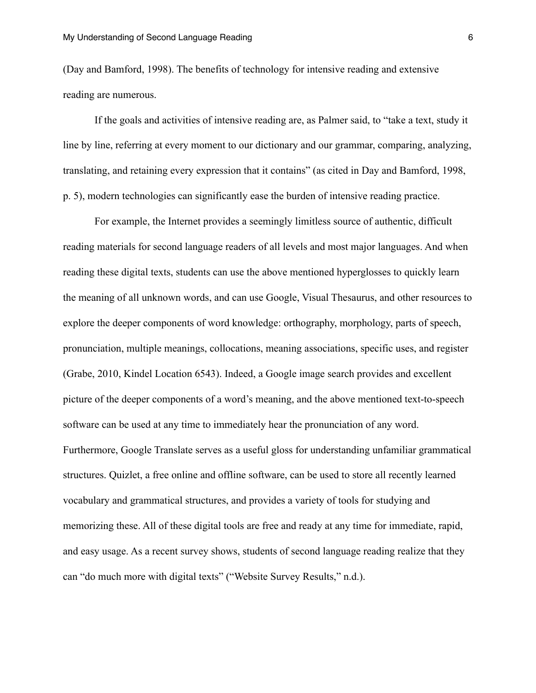(Day and Bamford, 1998). The benefits of technology for intensive reading and extensive reading are numerous.

 If the goals and activities of intensive reading are, as Palmer said, to "take a text, study it line by line, referring at every moment to our dictionary and our grammar, comparing, analyzing, translating, and retaining every expression that it contains" (as cited in Day and Bamford, 1998, p. 5), modern technologies can significantly ease the burden of intensive reading practice.

 For example, the Internet provides a seemingly limitless source of authentic, difficult reading materials for second language readers of all levels and most major languages. And when reading these digital texts, students can use the above mentioned hyperglosses to quickly learn the meaning of all unknown words, and can use Google, Visual Thesaurus, and other resources to explore the deeper components of word knowledge: orthography, morphology, parts of speech, pronunciation, multiple meanings, collocations, meaning associations, specific uses, and register (Grabe, 2010, Kindel Location 6543). Indeed, a Google image search provides and excellent picture of the deeper components of a word's meaning, and the above mentioned text-to-speech software can be used at any time to immediately hear the pronunciation of any word. Furthermore, Google Translate serves as a useful gloss for understanding unfamiliar grammatical structures. Quizlet, a free online and offline software, can be used to store all recently learned vocabulary and grammatical structures, and provides a variety of tools for studying and memorizing these. All of these digital tools are free and ready at any time for immediate, rapid, and easy usage. As a recent survey shows, students of second language reading realize that they can "do much more with digital texts" ("Website Survey Results," n.d.).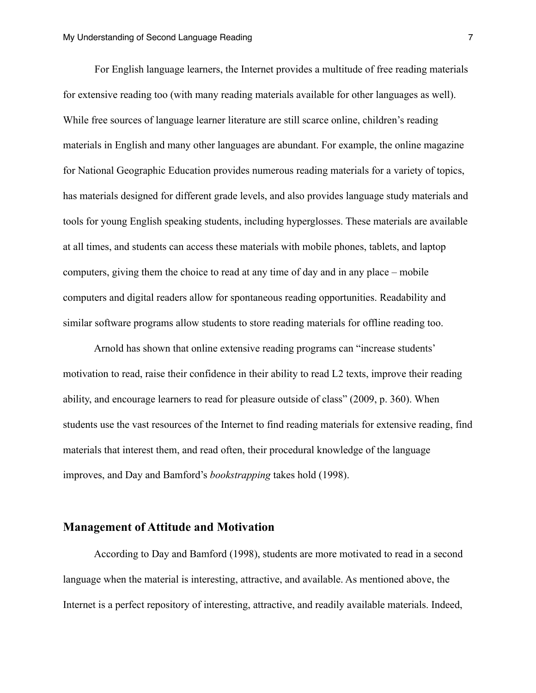For English language learners, the Internet provides a multitude of free reading materials for extensive reading too (with many reading materials available for other languages as well). While free sources of language learner literature are still scarce online, children's reading materials in English and many other languages are abundant. For example, the online magazine for National Geographic Education provides numerous reading materials for a variety of topics, has materials designed for different grade levels, and also provides language study materials and tools for young English speaking students, including hyperglosses. These materials are available at all times, and students can access these materials with mobile phones, tablets, and laptop computers, giving them the choice to read at any time of day and in any place – mobile computers and digital readers allow for spontaneous reading opportunities. Readability and similar software programs allow students to store reading materials for offline reading too.

 Arnold has shown that online extensive reading programs can "increase students' motivation to read, raise their confidence in their ability to read L2 texts, improve their reading ability, and encourage learners to read for pleasure outside of class" (2009, p. 360). When students use the vast resources of the Internet to find reading materials for extensive reading, find materials that interest them, and read often, their procedural knowledge of the language improves, and Day and Bamford's *bookstrapping* takes hold (1998).

#### **Management of Attitude and Motivation**

 According to Day and Bamford (1998), students are more motivated to read in a second language when the material is interesting, attractive, and available. As mentioned above, the Internet is a perfect repository of interesting, attractive, and readily available materials. Indeed,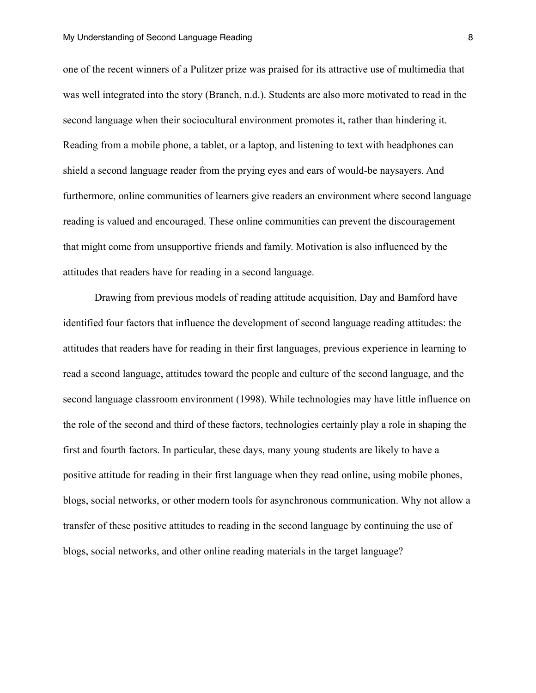one of the recent winners of a Pulitzer prize was praised for its attractive use of multimedia that was well integrated into the story (Branch, n.d.). Students are also more motivated to read in the second language when their sociocultural environment promotes it, rather than hindering it. Reading from a mobile phone, a tablet, or a laptop, and listening to text with headphones can shield a second language reader from the prying eyes and ears of would-be naysayers. And furthermore, online communities of learners give readers an environment where second language reading is valued and encouraged. These online communities can prevent the discouragement that might come from unsupportive friends and family. Motivation is also influenced by the attitudes that readers have for reading in a second language.

 Drawing from previous models of reading attitude acquisition, Day and Bamford have identified four factors that influence the development of second language reading attitudes: the attitudes that readers have for reading in their first languages, previous experience in learning to read a second language, attitudes toward the people and culture of the second language, and the second language classroom environment (1998). While technologies may have little influence on the role of the second and third of these factors, technologies certainly play a role in shaping the first and fourth factors. In particular, these days, many young students are likely to have a positive attitude for reading in their first language when they read online, using mobile phones, blogs, social networks, or other modern tools for asynchronous communication. Why not allow a transfer of these positive attitudes to reading in the second language by continuing the use of blogs, social networks, and other online reading materials in the target language?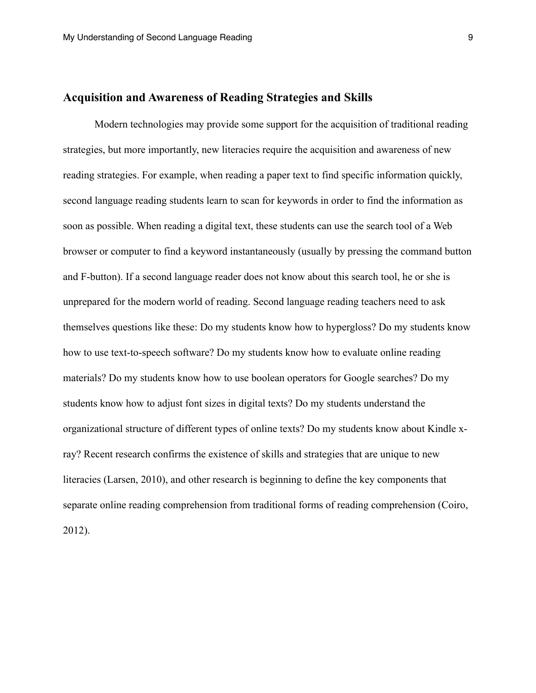#### **Acquisition and Awareness of Reading Strategies and Skills**

 Modern technologies may provide some support for the acquisition of traditional reading strategies, but more importantly, new literacies require the acquisition and awareness of new reading strategies. For example, when reading a paper text to find specific information quickly, second language reading students learn to scan for keywords in order to find the information as soon as possible. When reading a digital text, these students can use the search tool of a Web browser or computer to find a keyword instantaneously (usually by pressing the command button and F-button). If a second language reader does not know about this search tool, he or she is unprepared for the modern world of reading. Second language reading teachers need to ask themselves questions like these: Do my students know how to hypergloss? Do my students know how to use text-to-speech software? Do my students know how to evaluate online reading materials? Do my students know how to use boolean operators for Google searches? Do my students know how to adjust font sizes in digital texts? Do my students understand the organizational structure of different types of online texts? Do my students know about Kindle xray? Recent research confirms the existence of skills and strategies that are unique to new literacies (Larsen, 2010), and other research is beginning to define the key components that separate online reading comprehension from traditional forms of reading comprehension (Coiro, 2012).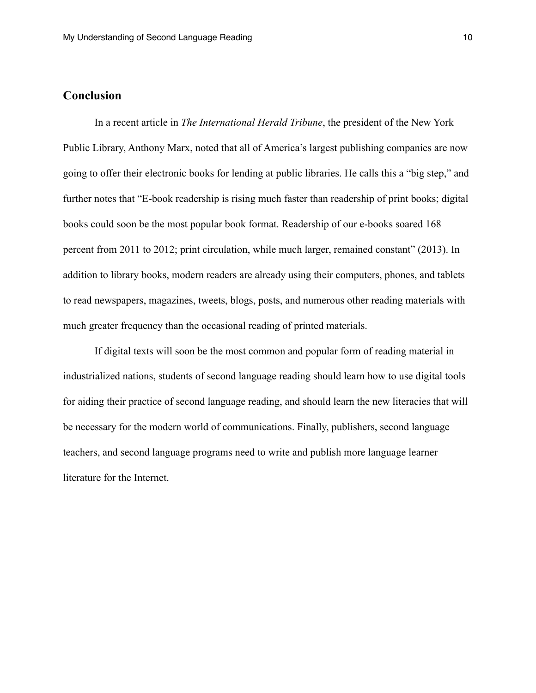## **Conclusion**

 In a recent article in *The International Herald Tribune*, the president of the New York Public Library, Anthony Marx, noted that all of America's largest publishing companies are now going to offer their electronic books for lending at public libraries. He calls this a "big step," and further notes that "E-book readership is rising much faster than readership of print books; digital books could soon be the most popular book format. Readership of our e-books soared 168 percent from 2011 to 2012; print circulation, while much larger, remained constant" (2013). In addition to library books, modern readers are already using their computers, phones, and tablets to read newspapers, magazines, tweets, blogs, posts, and numerous other reading materials with much greater frequency than the occasional reading of printed materials.

 If digital texts will soon be the most common and popular form of reading material in industrialized nations, students of second language reading should learn how to use digital tools for aiding their practice of second language reading, and should learn the new literacies that will be necessary for the modern world of communications. Finally, publishers, second language teachers, and second language programs need to write and publish more language learner literature for the Internet.